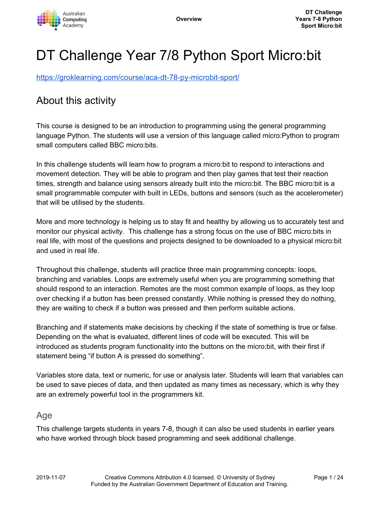

# DT Challenge Year 7/8 Python Sport Micro:bit

<https://groklearning.com/course/aca-dt-78-py-microbit-sport/>

# About this activity

This course is designed to be an introduction to programming using the general programming language Python. The students will use a version of this language called micro:Python to program small computers called BBC micro:bits.

In this challenge students will learn how to program a micro:bit to respond to interactions and movement detection. They will be able to program and then play games that test their reaction times, strength and balance using sensors already built into the micro:bit. The BBC micro:bit is a small programmable computer with built in LEDs, buttons and sensors (such as the accelerometer) that will be utilised by the students.

More and more technology is helping us to stay fit and healthy by allowing us to accurately test and monitor our physical activity. This challenge has a strong focus on the use of BBC micro:bits in real life, with most of the questions and projects designed to be downloaded to a physical micro:bit and used in real life.

Throughout this challenge, students will practice three main programming concepts: loops, branching and variables. Loops are extremely useful when you are programming something that should respond to an interaction. Remotes are the most common example of loops, as they loop over checking if a button has been pressed constantly. While nothing is pressed they do nothing, they are waiting to check if a button was pressed and then perform suitable actions.

Branching and if statements make decisions by checking if the state of something is true or false. Depending on the what is evaluated, different lines of code will be executed. This will be introduced as students program functionality into the buttons on the micro:bit, with their first if statement being "if button A is pressed do something".

Variables store data, text or numeric, for use or analysis later. Students will learn that variables can be used to save pieces of data, and then updated as many times as necessary, which is why they are an extremely powerful tool in the programmers kit.

#### Age

This challenge targets students in years 7-8, though it can also be used students in earlier years who have worked through block based programming and seek additional challenge.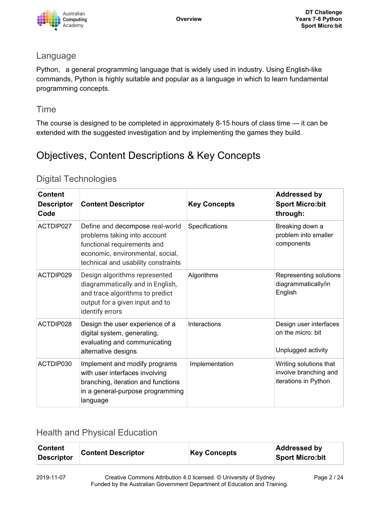

#### Language

Python, a general programming language that is widely used in industry. Using English-like commands, Python is highly suitable and popular as a language in which to learn fundamental programming concepts.

### Time

The course is designed to be completed in approximately 8-15 hours of class time — it can be extended with the suggested investigation and by implementing the games they build.

# Objectives, Content Descriptions & Key Concepts

### Digital Technologies

| <b>Content</b><br><b>Descriptor</b><br>Code | <b>Content Descriptor</b>                                                                                                                                                 | <b>Key Concepts</b> | <b>Addressed by</b><br><b>Sport Micro:bit</b><br>through:               |
|---------------------------------------------|---------------------------------------------------------------------------------------------------------------------------------------------------------------------------|---------------------|-------------------------------------------------------------------------|
| ACTDIP027                                   | Define and decompose real-world<br>problems taking into account<br>functional requirements and<br>economic, environmental, social,<br>technical and usability constraints | Specifications      | Breaking down a<br>problem into smaller<br>components                   |
| ACTDIP029                                   | Design algorithms represented<br>diagrammatically and in English,<br>and trace algorithms to predict<br>output for a given input and to<br>identify errors                | Algorithms          | Representing solutions<br>diagrammatically/in<br>English                |
| ACTDIP028                                   | Design the user experience of a<br>digital system, generating,<br>evaluating and communicating<br>alternative designs                                                     | Interactions        | Design user interfaces<br>on the micro: bit<br>Unplugged activity       |
| ACTDIP030                                   | Implement and modify programs<br>with user interfaces involving<br>branching, iteration and functions<br>in a general-purpose programming<br>language                     | Implementation      | Writing solutions that<br>involve branching and<br>iterations in Python |

### Health and Physical Education

| <b>Content</b><br><b>Descriptor</b> | <b>Content Descriptor</b> | <b>Key Concepts</b> | <b>Addressed by</b><br><b>Sport Micro:bit</b> |
|-------------------------------------|---------------------------|---------------------|-----------------------------------------------|
|                                     |                           |                     |                                               |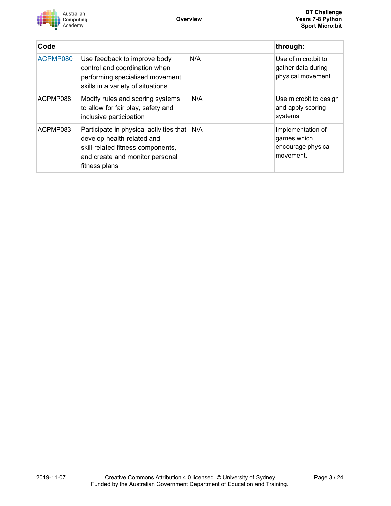

| Code     |                                                                                                                                                                |     | through:                                                            |
|----------|----------------------------------------------------------------------------------------------------------------------------------------------------------------|-----|---------------------------------------------------------------------|
| ACPMP080 | Use feedback to improve body<br>control and coordination when<br>performing specialised movement<br>skills in a variety of situations                          | N/A | Use of micro: bit to<br>gather data during<br>physical movement     |
| ACPMP088 | Modify rules and scoring systems<br>to allow for fair play, safety and<br>inclusive participation                                                              | N/A | Use microbit to design<br>and apply scoring<br>systems              |
| ACPMP083 | Participate in physical activities that<br>develop health-related and<br>skill-related fitness components,<br>and create and monitor personal<br>fitness plans | N/A | Implementation of<br>games which<br>encourage physical<br>movement. |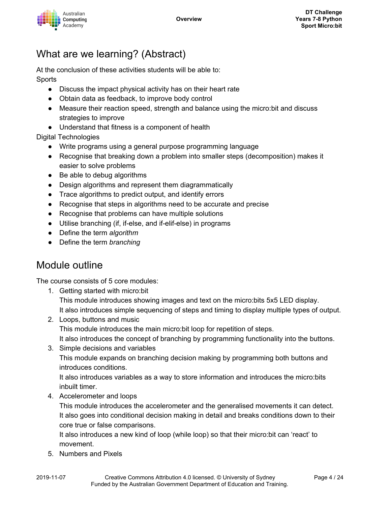

# What are we learning? (Abstract)

At the conclusion of these activities students will be able to: **Sports** 

- Discuss the impact physical activity has on their heart rate
- Obtain data as feedback, to improve body control
- Measure their reaction speed, strength and balance using the micro:bit and discuss strategies to improve
- Understand that fitness is a component of health

#### Digital Technologies

- Write programs using a general purpose programming language
- Recognise that breaking down a problem into smaller steps (decomposition) makes it easier to solve problems
- Be able to debug algorithms
- Design algorithms and represent them diagrammatically
- Trace algorithms to predict output, and identify errors
- Recognise that steps in algorithms need to be accurate and precise
- Recognise that problems can have multiple solutions
- Utilise branching (if, if-else, and if-elif-else) in programs
- Define the term *algorithm*
- Define the term *branching*

# Module outline

The course consists of 5 core modules:

- 1. Getting started with micro:bit This module introduces showing images and text on the micro:bits 5x5 LED display. It also introduces simple sequencing of steps and timing to display multiple types of output.
- 2. Loops, buttons and music This module introduces the main micro:bit loop for repetition of steps. It also introduces the concept of branching by programming functionality into the buttons.
- 3. Simple decisions and variables This module expands on branching decision making by programming both buttons and introduces conditions.

It also introduces variables as a way to store information and introduces the micro:bits inbuilt timer.

4. Accelerometer and loops

This module introduces the accelerometer and the generalised movements it can detect. It also goes into conditional decision making in detail and breaks conditions down to their core true or false comparisons.

It also introduces a new kind of loop (while loop) so that their micro:bit can 'react' to movement.

5. Numbers and Pixels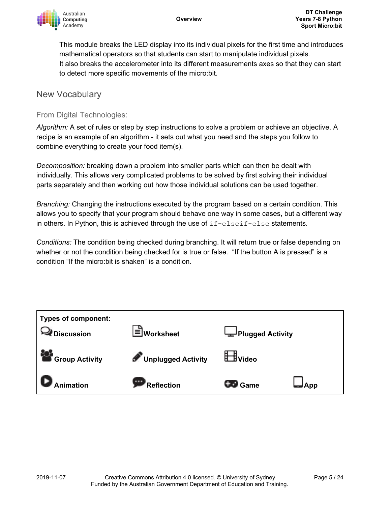

This module breaks the LED display into its individual pixels for the first time and introduces mathematical operators so that students can start to manipulate individual pixels. It also breaks the accelerometer into its different measurements axes so that they can start to detect more specific movements of the micro:bit.

#### New Vocabulary

#### From Digital Technologies:

*Algorithm:* A set of rules or step by step instructions to solve a problem or achieve an objective. A recipe is an example of an algorithm - it sets out what you need and the steps you follow to combine everything to create your food item(s).

*Decomposition:* breaking down a problem into smaller parts which can then be dealt with individually. This allows very complicated problems to be solved by first solving their individual parts separately and then working out how those individual solutions can be used together.

*Branching:* Changing the instructions executed by the program based on a certain condition. This allows you to specify that your program should behave one way in some cases, but a different way in others. In Python, this is achieved through the use of  $if$ -elseif-else statements.

*Conditions:* The condition being checked during branching. It will return true or false depending on whether or not the condition being checked for is true or false. "If the button A is pressed" is a condition "If the micro:bit is shaken" is a condition.

| <b>Types of component:</b><br>≹ Discussion | I≡ Worksheet         | Plugged Activity |       |
|--------------------------------------------|----------------------|------------------|-------|
| Group Activity                             | Unplugged Activity   | <b>H</b> Video   |       |
| <b>Animation</b>                           | 100000<br>Reflection | <b>CED</b> Game  | J App |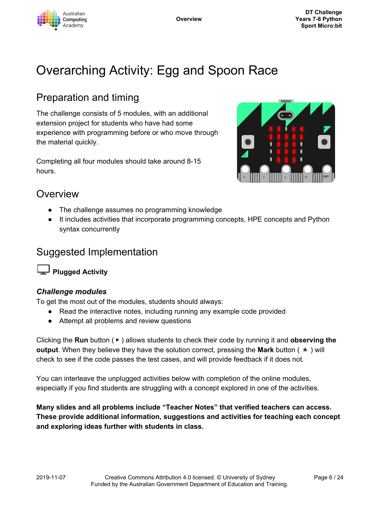

# Overarching Activity: Egg and Spoon Race

# Preparation and timing

The challenge consists of 5 modules, with an additional extension project for students who have had some experience with programming before or who move through the material quickly.

Completing all four modules should take around 8-15 hours.



## **Overview**

- The challenge assumes no programming knowledge
- It includes activities that incorporate programming concepts, HPE concepts and Python syntax concurrently

# Suggested Implementation

**Plugged Activity**

#### *Challenge modules*

To get the most out of the modules, students should always:

- Read the interactive notes, including running any example code provided
- Attempt all problems and review questions

Clicking the **Run** button ( ▶ ) allows students to check their code by running it and **observing the output**. When they believe they have the solution correct, pressing the **Mark** button ( ✭ ) will check to see if the code passes the test cases, and will provide feedback if it does not.

You can interleave the unplugged activities below with completion of the online modules, especially if you find students are struggling with a concept explored in one of the activities.

**Many slides and all problems include "Teacher Notes" that verified teachers can access. These provide additional information, suggestions and activities for teaching each concept and exploring ideas further with students in class.**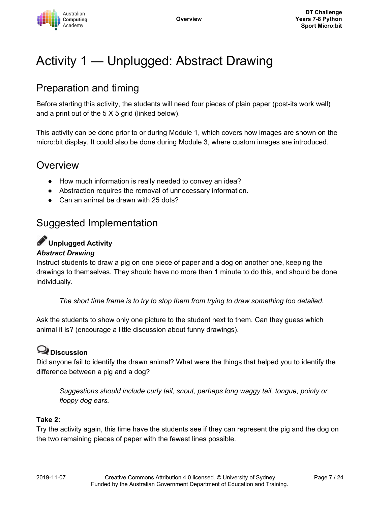

# Activity 1 — Unplugged: Abstract Drawing

# Preparation and timing

Before starting this activity, the students will need four pieces of plain paper (post-its work well) and a print out of the 5 X 5 grid (linked below).

This activity can be done prior to or during Module 1, which covers how images are shown on the micro:bit display. It could also be done during Module 3, where custom images are introduced.

# Overview

- How much information is really needed to convey an idea?
- Abstraction requires the removal of unnecessary information.
- Can an animal be drawn with 25 dots?

# Suggested Implementation

# **Unplugged Activity**

#### *Abstract Drawing*

Instruct students to draw a pig on one piece of paper and a dog on another one, keeping the drawings to themselves. They should have no more than 1 minute to do this, and should be done individually.

*The short time frame is to try to stop them from trying to draw something too detailed.*

Ask the students to show only one picture to the student next to them. Can they guess which animal it is? (encourage a little discussion about funny drawings).

# **Discussion**

Did anyone fail to identify the drawn animal? What were the things that helped you to identify the difference between a pig and a dog?

*Suggestions should include curly tail, snout, perhaps long waggy tail, tongue, pointy or floppy dog ears.*

#### **Take 2:**

Try the activity again, this time have the students see if they can represent the pig and the dog on the two remaining pieces of paper with the fewest lines possible.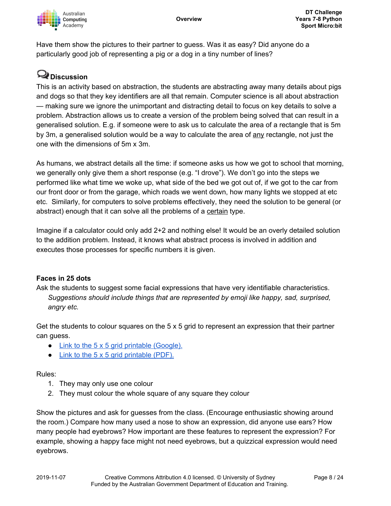

Have them show the pictures to their partner to guess. Was it as easy? Did anyone do a particularly good job of representing a pig or a dog in a tiny number of lines?

# **Discussion**

This is an activity based on abstraction, the students are abstracting away many details about pigs and dogs so that they key identifiers are all that remain. Computer science is all about abstraction — making sure we ignore the unimportant and distracting detail to focus on key details to solve a problem. Abstraction allows us to create a version of the problem being solved that can result in a generalised solution. E.g. if someone were to ask us to calculate the area of a rectangle that is 5m by 3m, a generalised solution would be a way to calculate the area of any rectangle, not just the one with the dimensions of 5m x 3m.

As humans, we abstract details all the time: if someone asks us how we got to school that morning, we generally only give them a short response (e.g. "I drove"). We don't go into the steps we performed like what time we woke up, what side of the bed we got out of, if we got to the car from our front door or from the garage, which roads we went down, how many lights we stopped at etc etc. Similarly, for computers to solve problems effectively, they need the solution to be general (or abstract) enough that it can solve all the problems of a certain type.

Imagine if a calculator could only add 2+2 and nothing else! It would be an overly detailed solution to the addition problem. Instead, it knows what abstract process is involved in addition and executes those processes for specific numbers it is given.

#### **Faces in 25 dots**

Ask the students to suggest some facial expressions that have very identifiable characteristics. *Suggestions should include things that are represented by emoji like happy, sad, surprised, angry etc.*

Get the students to colour squares on the 5 x 5 grid to represent an expression that their partner can guess.

- Link to the 5 x 5 grid printable [\(Google\).](https://docs.google.com/presentation/d/1zg1-sTDiBLGeb8EUXyBWwYGFfdfTy-gNDCeZh0WJevs/copy)
- Link to the 5 x 5 grid [printable](https://groklearning-cdn.com/modules/jSG8socbQ2FwPra38m5WA7/AbstractDrawingunplugged.pdf) (PDF).

#### Rules:

- 1. They may only use one colour
- 2. They must colour the whole square of any square they colour

Show the pictures and ask for guesses from the class. (Encourage enthusiastic showing around the room.) Compare how many used a nose to show an expression, did anyone use ears? How many people had eyebrows? How important are these features to represent the expression? For example, showing a happy face might not need eyebrows, but a quizzical expression would need eyebrows.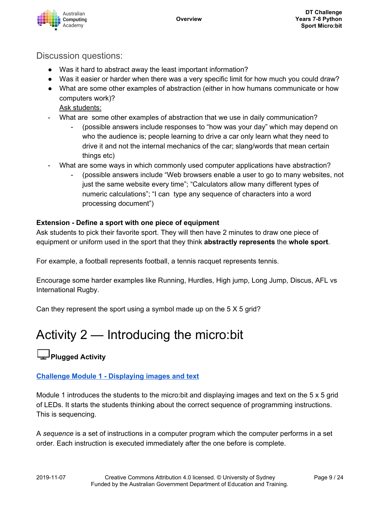

### Discussion questions:

- Was it hard to abstract away the least important information?
- Was it easier or harder when there was a very specific limit for how much you could draw?
- What are some other examples of abstraction (either in how humans communicate or how computers work)?

Ask students:

- What are some other examples of abstraction that we use in daily communication?
	- (possible answers include responses to "how was your day" which may depend on who the audience is; people learning to drive a car only learn what they need to drive it and not the internal mechanics of the car; slang/words that mean certain things etc)
- What are some ways in which commonly used computer applications have abstraction?
	- (possible answers include "Web browsers enable a user to go to many websites, not just the same website every time"; "Calculators allow many different types of numeric calculations"; "I can type any sequence of characters into a word processing document")

#### **Extension - Define a sport with one piece of equipment**

Ask students to pick their favorite sport. They will then have 2 minutes to draw one piece of equipment or uniform used in the sport that they think **abstractly represents** the **whole sport**.

For example, a football represents football, a tennis racquet represents tennis.

Encourage some harder examples like Running, Hurdles, High jump, Long Jump, Discus, AFL vs International Rugby.

Can they represent the sport using a symbol made up on the 5 X 5 grid?

# Activity 2 — Introducing the micro:bit

# **Plugged Activity**

#### **Challenge Module 1 - [Displaying](https://groklearning.com/learn/aca-dt-78-py-microbit-sport/1/0/) images and text**

Module 1 introduces the students to the micro:bit and displaying images and text on the 5 x 5 grid of LEDs. It starts the students thinking about the correct sequence of programming instructions. This is sequencing.

A *sequence* is a set of instructions in a computer program which the computer performs in a set order. Each instruction is executed immediately after the one before is complete.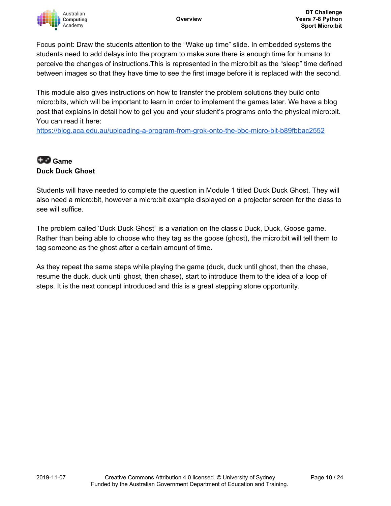

Focus point: Draw the students attention to the "Wake up time" slide. In embedded systems the students need to add delays into the program to make sure there is enough time for humans to perceive the changes of instructions.This is represented in the micro:bit as the "sleep" time defined between images so that they have time to see the first image before it is replaced with the second.

This module also gives instructions on how to transfer the problem solutions they build onto micro:bits, which will be important to learn in order to implement the games later. We have a blog post that explains in detail how to get you and your student's programs onto the physical micro:bit. You can read it here:

<https://blog.aca.edu.au/uploading-a-program-from-grok-onto-the-bbc-micro-bit-b89fbbac2552>

### **Game Duck Duck Ghost**

Students will have needed to complete the question in Module 1 titled Duck Duck Ghost. They will also need a micro:bit, however a micro:bit example displayed on a projector screen for the class to see will suffice.

The problem called 'Duck Duck Ghost" is a variation on the classic Duck, Duck, Goose game. Rather than being able to choose who they tag as the goose (ghost), the micro:bit will tell them to tag someone as the ghost after a certain amount of time.

As they repeat the same steps while playing the game (duck, duck until ghost, then the chase, resume the duck, duck until ghost, then chase), start to introduce them to the idea of a loop of steps. It is the next concept introduced and this is a great stepping stone opportunity.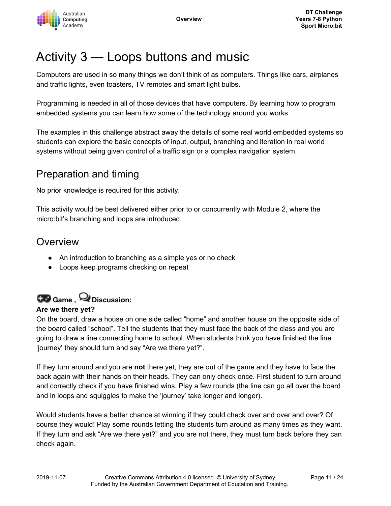

# Activity 3 — Loops buttons and music

Computers are used in so many things we don't think of as computers. Things like cars, airplanes and traffic lights, even toasters, TV remotes and smart light bulbs.

Programming is needed in all of those devices that have computers. By learning how to program embedded systems you can learn how some of the technology around you works.

The examples in this challenge abstract away the details of some real world embedded systems so students can explore the basic concepts of input, output, branching and iteration in real world systems without being given control of a traffic sign or a complex navigation system.

# Preparation and timing

No prior knowledge is required for this activity.

This activity would be best delivered either prior to or concurrently with Module 2, where the micro:bit's branching and loops are introduced.

# Overview

- An introduction to branching as a simple yes or no check
- Loops keep programs checking on repeat

# **Game , Discussion:**

#### **Are we there yet?**

On the board, draw a house on one side called "home" and another house on the opposite side of the board called "school". Tell the students that they must face the back of the class and you are going to draw a line connecting home to school. When students think you have finished the line 'journey' they should turn and say "Are we there yet?".

If they turn around and you are **not** there yet, they are out of the game and they have to face the back again with their hands on their heads. They can only check once. First student to turn around and correctly check if you have finished wins. Play a few rounds (the line can go all over the board and in loops and squiggles to make the 'journey' take longer and longer).

Would students have a better chance at winning if they could check over and over and over? Of course they would! Play some rounds letting the students turn around as many times as they want. If they turn and ask "Are we there yet?" and you are not there, they must turn back before they can check again.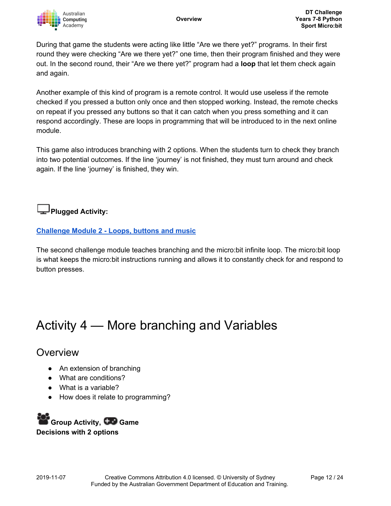During that game the students were acting like little "Are we there yet?" programs. In their first round they were checking "Are we there yet?" one time, then their program finished and they were out. In the second round, their "Are we there yet?" program had a **loop** that let them check again and again.

Another example of this kind of program is a remote control. It would use useless if the remote checked if you pressed a button only once and then stopped working. Instead, the remote checks on repeat if you pressed any buttons so that it can catch when you press something and it can respond accordingly. These are loops in programming that will be introduced to in the next online module.

This game also introduces branching with 2 options. When the students turn to check they branch into two potential outcomes. If the line 'journey' is not finished, they must turn around and check again. If the line 'journey' is finished, they win.

## **Plugged Activity:**

#### **[Challenge](https://groklearning.com/learn/aca-dt-78-py-microbit-sport/2/0/) Module 2 - Loops, buttons and music**

The second challenge module teaches branching and the micro:bit infinite loop. The micro:bit loop is what keeps the micro:bit instructions running and allows it to constantly check for and respond to button presses.

# Activity 4 — More branching and Variables

## **Overview**

- An extension of branching
- What are conditions?
- What is a variable?
- How does it relate to programming?

**Group Activity, Game Decisions with 2 options**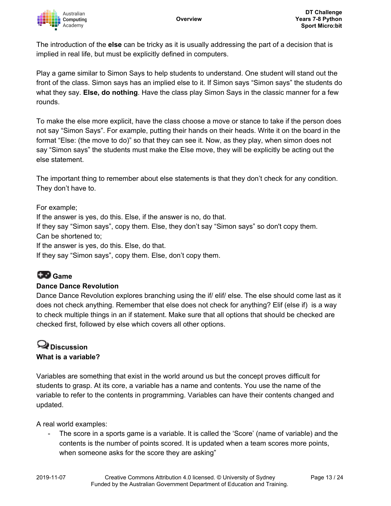

The introduction of the **else** can be tricky as it is usually addressing the part of a decision that is implied in real life, but must be explicitly defined in computers.

Play a game similar to Simon Says to help students to understand. One student will stand out the front of the class. Simon says has an implied else to it. If Simon says "Simon says" the students do what they say. **Else, do nothing**. Have the class play Simon Says in the classic manner for a few rounds.

To make the else more explicit, have the class choose a move or stance to take if the person does not say "Simon Says". For example, putting their hands on their heads. Write it on the board in the format "Else: (the move to do)" so that they can see it. Now, as they play, when simon does not say "Simon says" the students must make the Else move, they will be explicitly be acting out the else statement.

The important thing to remember about else statements is that they don't check for any condition. They don't have to.

#### For example;

If the answer is yes, do this. Else, if the answer is no, do that. If they say "Simon says", copy them. Else, they don't say "Simon says" so don't copy them. Can be shortened to; If the answer is yes, do this. Else, do that. If they say "Simon says", copy them. Else, don't copy them.

#### **Game**

#### **Dance Dance Revolution**

Dance Dance Revolution explores branching using the if/ elif/ else. The else should come last as it does not check anything. Remember that else does not check for anything? Elif (else if) is a way to check multiple things in an if statement. Make sure that all options that should be checked are checked first, followed by else which covers all other options.

### **Discussion What is a variable?**

Variables are something that exist in the world around us but the concept proves difficult for students to grasp. At its core, a variable has a name and contents. You use the name of the variable to refer to the contents in programming. Variables can have their contents changed and updated.

A real world examples:

- The score in a sports game is a variable. It is called the 'Score' (name of variable) and the contents is the number of points scored. It is updated when a team scores more points, when someone asks for the score they are asking"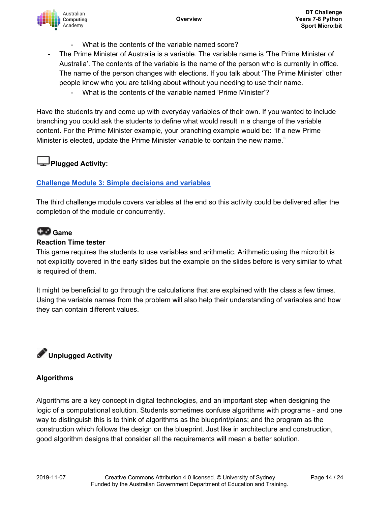

- What is the contents of the variable named score?
- The Prime Minister of Australia is a variable. The variable name is 'The Prime Minister of Australia'. The contents of the variable is the name of the person who is currently in office. The name of the person changes with elections. If you talk about 'The Prime Minister' other people know who you are talking about without you needing to use their name.
	- What is the contents of the variable named 'Prime Minister'?

Have the students try and come up with everyday variables of their own. If you wanted to include branching you could ask the students to define what would result in a change of the variable content. For the Prime Minister example, your branching example would be: "If a new Prime Minister is elected, update the Prime Minister variable to contain the new name."

### **Plugged Activity:**

#### **[Challenge](https://groklearning.com/learn/aca-dt-78-py-microbit-sport/3/0/) Module 3: Simple decisions and variables**

The third challenge module covers variables at the end so this activity could be delivered after the completion of the module or concurrently.

## **Game**

#### **Reaction Time tester**

This game requires the students to use variables and arithmetic. Arithmetic using the micro:bit is not explicitly covered in the early slides but the example on the slides before is very similar to what is required of them.

It might be beneficial to go through the calculations that are explained with the class a few times. Using the variable names from the problem will also help their understanding of variables and how they can contain different values.

# **Unplugged Activity**

#### **Algorithms**

Algorithms are a key concept in digital technologies, and an important step when designing the logic of a computational solution. Students sometimes confuse algorithms with programs - and one way to distinguish this is to think of algorithms as the blueprint/plans; and the program as the construction which follows the design on the blueprint. Just like in architecture and construction, good algorithm designs that consider all the requirements will mean a better solution.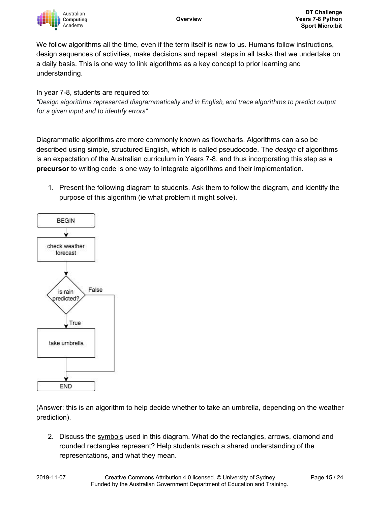

We follow algorithms all the time, even if the term itself is new to us. Humans follow instructions, design sequences of activities, make decisions and repeat steps in all tasks that we undertake on a daily basis. This is one way to link algorithms as a key concept to prior learning and understanding.

#### In year 7-8, students are required to:

*"Design algorithms represented diagrammatically and in English, and trace algorithms to predict output for a given input and to identify errors"*

Diagrammatic algorithms are more commonly known as flowcharts. Algorithms can also be described using simple, structured English, which is called pseudocode. The *design* of algorithms is an expectation of the Australian curriculum in Years 7-8, and thus incorporating this step as a **precursor** to writing code is one way to integrate algorithms and their implementation.

1. Present the following diagram to students. Ask them to follow the diagram, and identify the purpose of this algorithm (ie what problem it might solve).



(Answer: this is an algorithm to help decide whether to take an umbrella, depending on the weather prediction).

2. Discuss the symbols used in this diagram. What do the rectangles, arrows, diamond and rounded rectangles represent? Help students reach a shared understanding of the representations, and what they mean.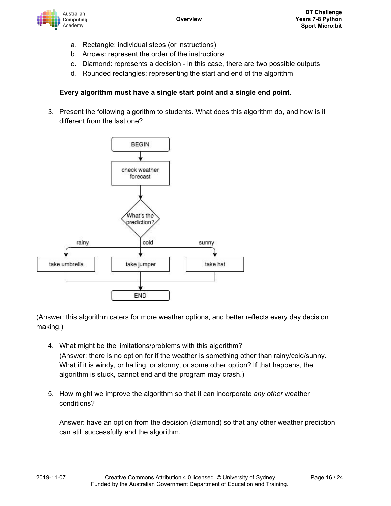

- a. Rectangle: individual steps (or instructions)
- b. Arrows: represent the order of the instructions
- c. Diamond: represents a decision in this case, there are two possible outputs
- d. Rounded rectangles: representing the start and end of the algorithm

#### **Every algorithm must have a single start point and a single end point.**

3. Present the following algorithm to students. What does this algorithm do, and how is it different from the last one?



(Answer: this algorithm caters for more weather options, and better reflects every day decision making.)

- 4. What might be the limitations/problems with this algorithm? (Answer: there is no option for if the weather is something other than rainy/cold/sunny. What if it is windy, or hailing, or stormy, or some other option? If that happens, the algorithm is stuck, cannot end and the program may crash.)
- 5. How might we improve the algorithm so that it can incorporate *any other* weather conditions?

Answer: have an option from the decision (diamond) so that any other weather prediction can still successfully end the algorithm.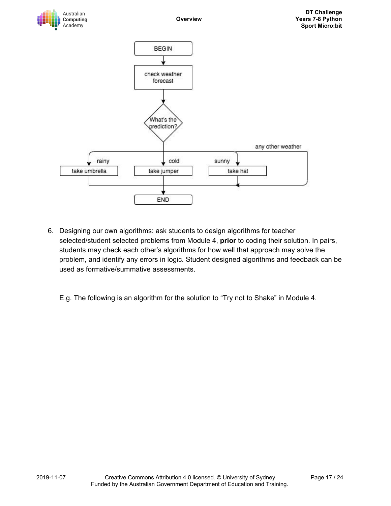

- 6. Designing our own algorithms: ask students to design algorithms for teacher selected/student selected problems from Module 4, **prior** to coding their solution. In pairs, students may check each other's algorithms for how well that approach may solve the problem, and identify any errors in logic. Student designed algorithms and feedback can be used as formative/summative assessments.
	- E.g. The following is an algorithm for the solution to "Try not to Shake" in Module 4.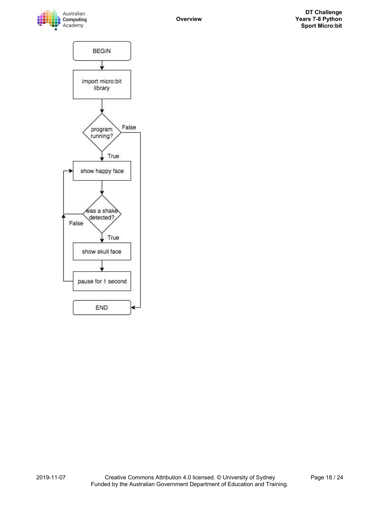

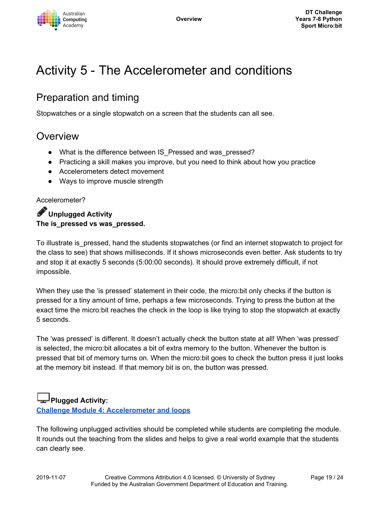

# Activity 5 - The Accelerometer and conditions

# Preparation and timing

Stopwatches or a single stopwatch on a screen that the students can all see.

# Overview

- What is the difference between IS Pressed and was pressed?
- Practicing a skill makes you improve, but you need to think about how you practice
- Accelerometers detect movement
- Ways to improve muscle strength

#### Accelerometer?

**Unplugged Activity The is\_pressed vs was\_pressed.**

To illustrate is\_pressed, hand the students stopwatches (or find an internet stopwatch to project for the class to see) that shows milliseconds. If it shows microseconds even better. Ask students to try and stop it at exactly 5 seconds (5:00:00 seconds). It should prove extremely difficult, if not impossible.

When they use the 'is pressed' statement in their code, the micro:bit only checks if the button is pressed for a tiny amount of time, perhaps a few microseconds. Trying to press the button at the exact time the micro:bit reaches the check in the loop is like trying to stop the stopwatch at exactly 5 seconds.

The 'was pressed' is different. It doesn't actually check the button state at all! When 'was pressed' is selected, the micro:bit allocates a bit of extra memory to the button. Whenever the button is pressed that bit of memory turns on. When the micro:bit goes to check the button press it just looks at the memory bit instead. If that memory bit is on, the button was pressed.

### **Plugged Activity:**

**Challenge Module 4: [Accelerometer](https://groklearning.com/learn/aca-dt-78-py-microbit-sport/4/0/) and loops**

The following unplugged activities should be completed while students are completing the module. It rounds out the teaching from the slides and helps to give a real world example that the students can clearly see.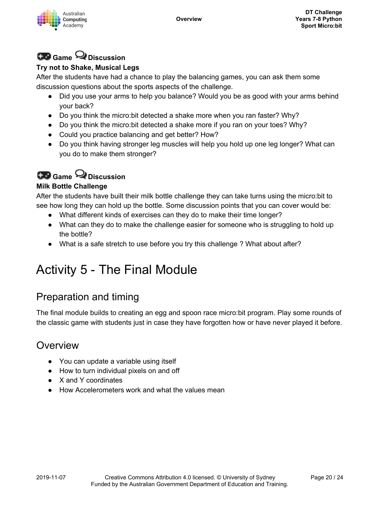

# **Game Discussion**

#### **Try not to Shake, Musical Legs**

After the students have had a chance to play the balancing games, you can ask them some discussion questions about the sports aspects of the challenge.

- Did you use your arms to help you balance? Would you be as good with your arms behind your back?
- Do you think the micro:bit detected a shake more when you ran faster? Why?
- Do you think the micro:bit detected a shake more if you ran on your toes? Why?
- Could you practice balancing and get better? How?
- Do you think having stronger leg muscles will help you hold up one leg longer? What can you do to make them stronger?

# **Game Discussion**

#### **Milk Bottle Challenge**

After the students have built their milk bottle challenge they can take turns using the micro:bit to see how long they can hold up the bottle. Some discussion points that you can cover would be:

- What different kinds of exercises can they do to make their time longer?
- What can they do to make the challenge easier for someone who is struggling to hold up the bottle?
- What is a safe stretch to use before you try this challenge ? What about after?

# Activity 5 - The Final Module

# Preparation and timing

The final module builds to creating an egg and spoon race micro:bit program. Play some rounds of the classic game with students just in case they have forgotten how or have never played it before.

# **Overview**

- You can update a variable using itself
- How to turn individual pixels on and off
- X and Y coordinates
- How Accelerometers work and what the values mean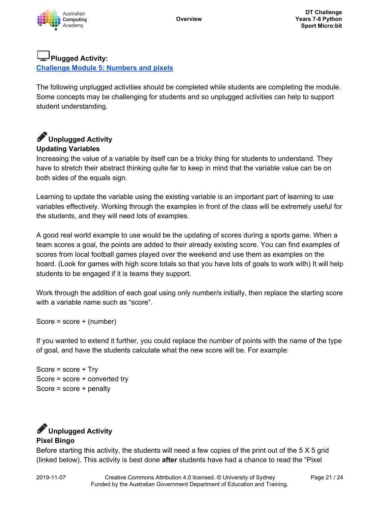

## **Plugged Activity:**

**[Challenge](https://groklearning.com/learn/aca-dt-78-py-microbit-sport/5/0/) Module 5: Numbers and pixels**

The following unplugged activities should be completed while students are completing the module. Some concepts may be challenging for students and so unplugged activities can help to support student understanding.

## **Unplugged Activity Updating Variables**

Increasing the value of a variable by itself can be a tricky thing for students to understand. They have to stretch their abstract thinking quite far to keep in mind that the variable value can be on both sides of the equals sign.

Learning to update the variable using the existing variable is an important part of learning to use variables effectively. Working through the examples in front of the class will be extremely useful for the students, and they will need lots of examples.

A good real world example to use would be the updating of scores during a sports game. When a team scores a goal, the points are added to their already existing score. You can find examples of scores from local football games played over the weekend and use them as examples on the board. (Look for games with high score totals so that you have lots of goals to work with) It will help students to be engaged if it is teams they support.

Work through the addition of each goal using only number/s initially, then replace the starting score with a variable name such as "score".

Score = score + (number)

If you wanted to extend it further, you could replace the number of points with the name of the type of goal, and have the students calculate what the new score will be. For example:

Score = score + Try Score = score + converted try Score = score + penalty

### **Unplugged Activity Pixel Bingo**

Before starting this activity, the students will need a few copies of the print out of the 5 X 5 grid (linked below). This activity is best done **after** students have had a chance to read the "Pixel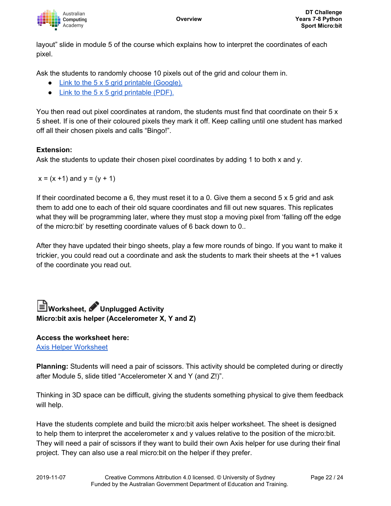

layout" slide in module 5 of the course which explains how to interpret the coordinates of each pixel.

Ask the students to randomly choose 10 pixels out of the grid and colour them in.

- Link to the 5 x 5 grid printable [\(Google\).](https://docs.google.com/presentation/d/1zg1-sTDiBLGeb8EUXyBWwYGFfdfTy-gNDCeZh0WJevs/copy)
- $\bullet$  Link to the 5 x 5 grid [printable](https://groklearning-cdn.com/modules/jSG8socbQ2FwPra38m5WA7/AbstractDrawingunplugged.pdf) (PDF).

You then read out pixel coordinates at random, the students must find that coordinate on their 5 x 5 sheet. If is one of their coloured pixels they mark it off. Keep calling until one student has marked off all their chosen pixels and calls "Bingo!".

#### **Extension:**

Ask the students to update their chosen pixel coordinates by adding 1 to both x and y.

 $x = (x + 1)$  and  $y = (y + 1)$ 

If their coordinated become a 6, they must reset it to a 0. Give them a second 5 x 5 grid and ask them to add one to each of their old square coordinates and fill out new squares. This replicates what they will be programming later, where they must stop a moving pixel from 'falling off the edge of the micro:bit' by resetting coordinate values of 6 back down to 0..

After they have updated their bingo sheets, play a few more rounds of bingo. If you want to make it trickier, you could read out a coordinate and ask the students to mark their sheets at the +1 values of the coordinate you read out.

## **Worksheet, Unplugged Activity Micro:bit axis helper (Accelerometer X, Y and Z)**

**Access the worksheet here:** Axis Helper [Worksheet](https://groklearning-cdn.com/modules/5MAFzpFYLyK3F8nQkYmKY4/AxisHelperWorksheet1.pdf)

**Planning:** Students will need a pair of scissors. This activity should be completed during or directly after Module 5, slide titled "Accelerometer X and Y (and Z!)".

Thinking in 3D space can be difficult, giving the students something physical to give them feedback will help.

Have the students complete and build the micro:bit axis helper worksheet. The sheet is designed to help them to interpret the accelerometer x and y values relative to the position of the micro:bit. They will need a pair of scissors if they want to build their own Axis helper for use during their final project. They can also use a real micro:bit on the helper if they prefer.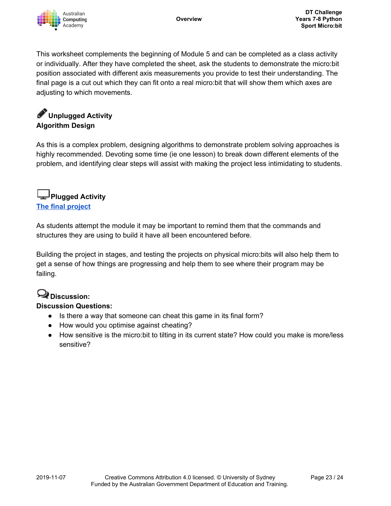

This worksheet complements the beginning of Module 5 and can be completed as a class activity or individually. After they have completed the sheet, ask the students to demonstrate the micro:bit position associated with different axis measurements you provide to test their understanding. The final page is a cut out which they can fit onto a real micro:bit that will show them which axes are adjusting to which movements.

## **Unplugged Activity Algorithm Design**

As this is a complex problem, designing algorithms to demonstrate problem solving approaches is highly recommended. Devoting some time (ie one lesson) to break down different elements of the problem, and identifying clear steps will assist with making the project less intimidating to students.

## **Plugged Activity The final [project](https://groklearning.com/learn/aca-dt-78-py-microbit-sport/5/26/)**

As students attempt the module it may be important to remind them that the commands and structures they are using to build it have all been encountered before.

Building the project in stages, and testing the projects on physical micro:bits will also help them to get a sense of how things are progressing and help them to see where their program may be failing.

## **Discussion:**

#### **Discussion Questions:**

- Is there a way that someone can cheat this game in its final form?
- How would you optimise against cheating?
- How sensitive is the micro:bit to tilting in its current state? How could you make is more/less sensitive?